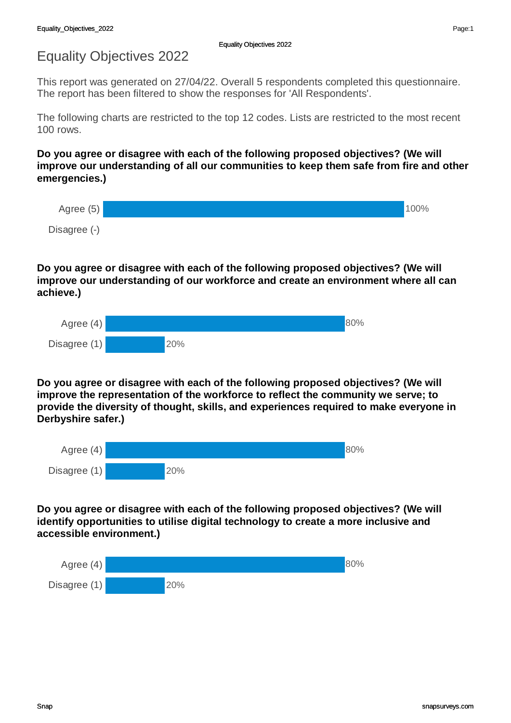## Equality Objectives 2022

This report was generated on 27/04/22. Overall 5 respondents completed this questionnaire. The report has been filtered to show the responses for 'All Respondents'.

The following charts are restricted to the top 12 codes. Lists are restricted to the most recent 100 rows.

**Do you agree or disagree with each of the following proposed objectives? (We will improve our understanding of all our communities to keep them safe from fire and other emergencies.)** 



## **Do you agree or disagree with each of the following proposed objectives? (We will improve our understanding of our workforce and create an environment where all can achieve.)**

| Agree $(4)$  |     | 80% |
|--------------|-----|-----|
| Disagree (1) | 20% |     |

**Do you agree or disagree with each of the following proposed objectives? (We will improve the representation of the workforce to reflect the community we serve; to provide the diversity of thought, skills, and experiences required to make everyone in Derbyshire safer.)** 

| Agree $(4)$  |     | 80% |
|--------------|-----|-----|
| Disagree (1) | 20% |     |

**Do you agree or disagree with each of the following proposed objectives? (We will identify opportunities to utilise digital technology to create a more inclusive and accessible environment.)** 

| Agree $(4)$  |     | 80% |
|--------------|-----|-----|
| Disagree (1) | 20% |     |